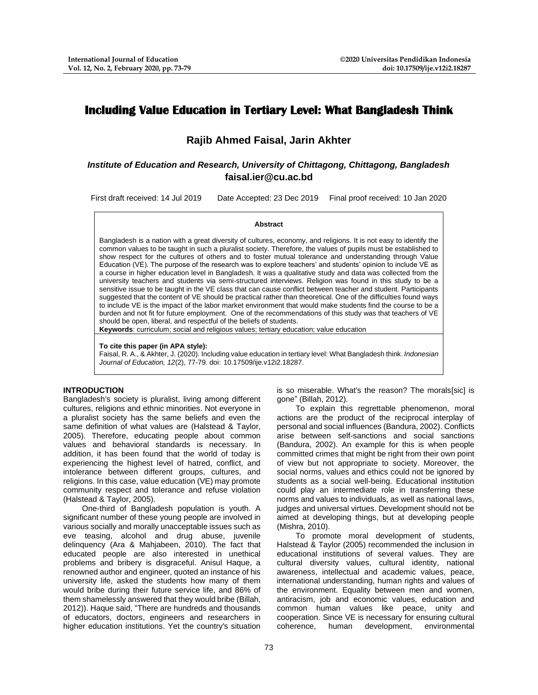# **Including Value Education in Tertiary Level: What Bangladesh Think**

# **Rajib Ahmed Faisal, Jarin Akhter**

# *Institute of Education and Research, University of Chittagong, Chittagong, Bangladesh* **[faisal.ier@cu.ac.bd](mailto:faisal.ier@cu.ac.bd)**

First draft received: 14 Jul 2019 Date Accepted: 23 Dec 2019 Final proof received: 10 Jan 2020

#### **Abstract**

Bangladesh is a nation with a great diversity of cultures, economy, and religions. It is not easy to identify the common values to be taught in such a pluralist society. Therefore, the values of pupils must be established to show respect for the cultures of others and to foster mutual tolerance and understanding through Value Education (VE). The purpose of the research was to explore teachers' and students' opinion to include VE as a course in higher education level in Bangladesh. It was a qualitative study and data was collected from the university teachers and students via semi-structured interviews. Religion was found in this study to be a sensitive issue to be taught in the VE class that can cause conflict between teacher and student. Participants suggested that the content of VE should be practical rather than theoretical. One of the difficulties found ways to include VE is the impact of the labor market environment that would make students find the course to be a burden and not fit for future employment. One of the recommendations of this study was that teachers of VE should be open, liberal, and respectful of the beliefs of students.

**Keywords**: curriculum; social and religious values; tertiary education; value education

#### **To cite this paper (in APA style):**

Faisal, R. A., & Akhter, J. (2020). Including value education in tertiary level: What Bangladesh think. *Indonesian Journal of Education, 12*(2), 77-79. doi: 10.17509/ije.v12i2.18287.

# **INTRODUCTION**

Bangladesh's society is pluralist, living among different cultures, religions and ethnic minorities. Not everyone in a pluralist society has the same beliefs and even the same definition of what values are (Halstead & Taylor, 2005). Therefore, educating people about common values and behavioral standards is necessary. In addition, it has been found that the world of today is experiencing the highest level of hatred, conflict, and intolerance between different groups, cultures, and religions. In this case, value education (VE) may promote community respect and tolerance and refuse violation (Halstead & Taylor, 2005).

One-third of Bangladesh population is youth. A significant number of these young people are involved in various socially and morally unacceptable issues such as eve teasing, alcohol and drug abuse, juvenile delinquency (Ara & Mahjabeen, 2010). The fact that educated people are also interested in unethical problems and bribery is disgraceful. Anisul Haque, a renowned author and engineer, quoted an instance of his university life, asked the students how many of them would bribe during their future service life, and 86% of them shamelessly answered that they would bribe (Billah, 2012)). Haque said, "There are hundreds and thousands of educators, doctors, engineers and researchers in higher education institutions. Yet the country's situation

is so miserable. What's the reason? The morals[sic] is gone" (Billah, 2012).

To explain this regrettable phenomenon, moral actions are the product of the reciprocal interplay of personal and social influences (Bandura, 2002). Conflicts arise between self-sanctions and social sanctions (Bandura, 2002). An example for this is when people committed crimes that might be right from their own point of view but not appropriate to society. Moreover, the social norms, values and ethics could not be ignored by students as a social well-being. Educational institution could play an intermediate role in transferring these norms and values to individuals, as well as national laws, judges and universal virtues. Development should not be aimed at developing things, but at developing people (Mishra, 2010).

To promote moral development of students, Halstead & Taylor (2005) recommended the inclusion in educational institutions of several values. They are cultural diversity values, cultural identity, national awareness, intellectual and academic values, peace, international understanding, human rights and values of the environment. Equality between men and women, antiracism, job and economic values, education and common human values like peace, unity and cooperation. Since VE is necessary for ensuring cultural coherence, human development, environmental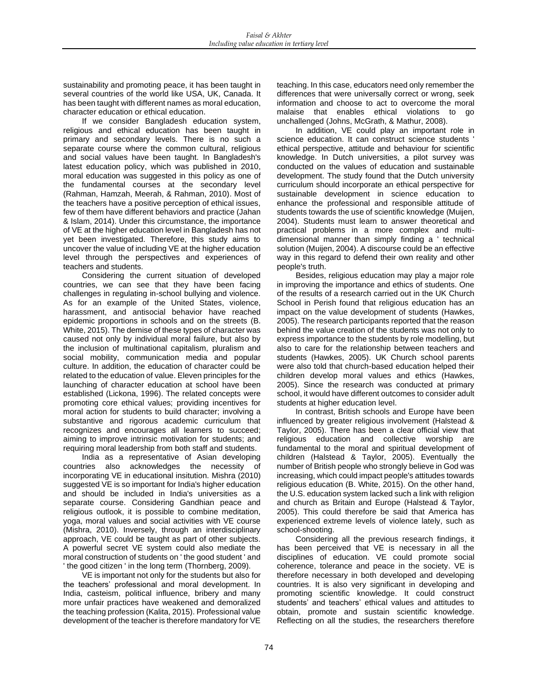sustainability and promoting peace, it has been taught in several countries of the world like USA, UK, Canada. It has been taught with different names as moral education, character education or ethical education.

If we consider Bangladesh education system, religious and ethical education has been taught in primary and secondary levels. There is no such a separate course where the common cultural, religious and social values have been taught. In Bangladesh's latest education policy, which was published in 2010, moral education was suggested in this policy as one of the fundamental courses at the secondary level (Rahman, Hamzah, Meerah, & Rahman, 2010). Most of the teachers have a positive perception of ethical issues, few of them have different behaviors and practice (Jahan & Islam, 2014). Under this circumstance, the importance of VE at the higher education level in Bangladesh has not yet been investigated. Therefore, this study aims to uncover the value of including VE at the higher education level through the perspectives and experiences of teachers and students.

Considering the current situation of developed countries, we can see that they have been facing challenges in regulating in-school bullying and violence. As for an example of the United States, violence, harassment, and antisocial behavior have reached epidemic proportions in schools and on the streets (B. White, 2015). The demise of these types of character was caused not only by individual moral failure, but also by the inclusion of multinational capitalism, pluralism and social mobility, communication media and popular culture. In addition, the education of character could be related to the education of value. Eleven principles for the launching of character education at school have been established (Lickona, 1996). The related concepts were promoting core ethical values; providing incentives for moral action for students to build character; involving a substantive and rigorous academic curriculum that recognizes and encourages all learners to succeed; aiming to improve intrinsic motivation for students; and requiring moral leadership from both staff and students.

India as a representative of Asian developing<br>countries also acknowledges the necessity of acknowledges the necessity of incorporating VE in educational insitution. Mishra (2010) suggested VE is so important for India's higher education and should be included in India's universities as a separate course. Considering Gandhian peace and religious outlook, it is possible to combine meditation, yoga, moral values and social activities with VE course (Mishra, 2010). Inversely, through an interdisciplinary approach, VE could be taught as part of other subjects. A powerful secret VE system could also mediate the moral construction of students on ' the good student ' and ' the good citizen ' in the long term (Thornberg, 2009).

VE is important not only for the students but also for the teachers' professional and moral development. In India, casteism, political influence, bribery and many more unfair practices have weakened and demoralized the teaching profession (Kalita, 2015). Professional value development of the teacher is therefore mandatory for VE teaching. In this case, educators need only remember the differences that were universally correct or wrong, seek information and choose to act to overcome the moral malaise that enables ethical violations to go unchallenged (Johns, McGrath, & Mathur, 2008).

In addition, VE could play an important role in science education. It can construct science students ' ethical perspective, attitude and behaviour for scientific knowledge. In Dutch universities, a pilot survey was conducted on the values of education and sustainable development. The study found that the Dutch university curriculum should incorporate an ethical perspective for sustainable development in science education to enhance the professional and responsible attitude of students towards the use of scientific knowledge (Muijen, 2004). Students must learn to answer theoretical and practical problems in a more complex and multidimensional manner than simply finding a ' technical solution (Muijen, 2004). A discourse could be an effective way in this regard to defend their own reality and other people's truth.

Besides, religious education may play a major role in improving the importance and ethics of students. One of the results of a research carried out in the UK Church School in Perish found that religious education has an impact on the value development of students (Hawkes, 2005). The research participants reported that the reason behind the value creation of the students was not only to express importance to the students by role modelling, but also to care for the relationship between teachers and students (Hawkes, 2005). UK Church school parents were also told that church-based education helped their children develop moral values and ethics (Hawkes, 2005). Since the research was conducted at primary school, it would have different outcomes to consider adult students at higher education level.

In contrast, British schools and Europe have been influenced by greater religious involvement (Halstead & Taylor, 2005). There has been a clear official view that religious education and collective worship are fundamental to the moral and spiritual development of children (Halstead & Taylor, 2005). Eventually the number of British people who strongly believe in God was increasing, which could impact people's attitudes towards religious education (B. White, 2015). On the other hand, the U.S. education system lacked such a link with religion and church as Britain and Europe (Halstead & Taylor, 2005). This could therefore be said that America has experienced extreme levels of violence lately, such as school-shooting.

Considering all the previous research findings, it has been perceived that VE is necessary in all the disciplines of education. VE could promote social coherence, tolerance and peace in the society. VE is therefore necessary in both developed and developing countries. It is also very significant in developing and promoting scientific knowledge. It could construct students' and teachers' ethical values and attitudes to obtain, promote and sustain scientific knowledge. Reflecting on all the studies, the researchers therefore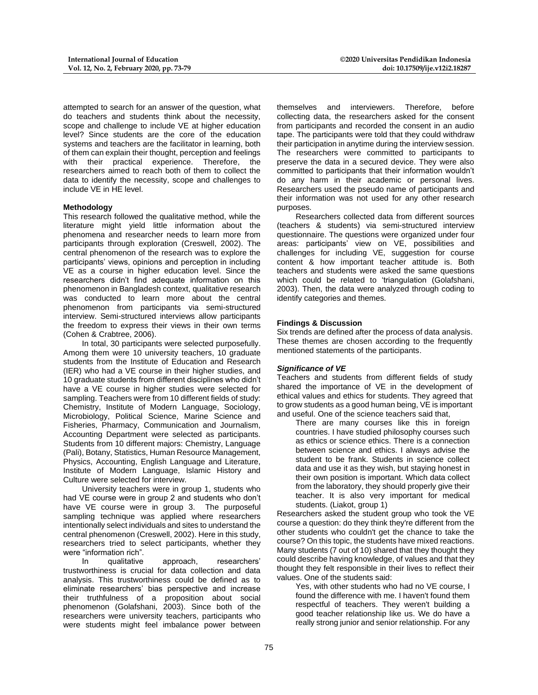attempted to search for an answer of the question, what do teachers and students think about the necessity, scope and challenge to include VE at higher education level? Since students are the core of the education systems and teachers are the facilitator in learning, both of them can explain their thought, perception and feelings with their practical experience. Therefore, the researchers aimed to reach both of them to collect the data to identify the necessity, scope and challenges to include VE in HE level.

#### **Methodology**

This research followed the qualitative method, while the literature might yield little information about the phenomena and researcher needs to learn more from participants through exploration (Creswell, 2002). The central phenomenon of the research was to explore the participants' views, opinions and perception in including VE as a course in higher education level. Since the researchers didn't find adequate information on this phenomenon in Bangladesh context, qualitative research was conducted to learn more about the central phenomenon from participants via semi-structured interview. Semi-structured interviews allow participants the freedom to express their views in their own terms (Cohen & Crabtree, 2006).

In total, 30 participants were selected purposefully. Among them were 10 university teachers, 10 graduate students from the Institute of Education and Research (IER) who had a VE course in their higher studies, and 10 graduate students from different disciplines who didn't have a VE course in higher studies were selected for sampling. Teachers were from 10 different fields of study: Chemistry, Institute of Modern Language, Sociology, Microbiology, Political Science, Marine Science and Fisheries, Pharmacy, Communication and Journalism, Accounting Department were selected as participants. Students from 10 different majors: Chemistry, Language (Pali), Botany, Statistics, Human Resource Management, Physics, Accounting, English Language and Literature, Institute of Modern Language, Islamic History and Culture were selected for interview.

University teachers were in group 1, students who had VE course were in group 2 and students who don't have VE course were in group 3. The purposeful sampling technique was applied where researchers intentionally select individuals and sites to understand the central phenomenon (Creswell, 2002). Here in this study, researchers tried to select participants, whether they were "information rich".

In qualitative approach, researchers' trustworthiness is crucial for data collection and data analysis. This trustworthiness could be defined as to eliminate researchers' bias perspective and increase their truthfulness of a proposition about social phenomenon (Golafshani, 2003). Since both of the researchers were university teachers, participants who were students might feel imbalance power between

themselves and interviewers. Therefore, before collecting data, the researchers asked for the consent from participants and recorded the consent in an audio tape. The participants were told that they could withdraw their participation in anytime during the interview session. The researchers were committed to participants to preserve the data in a secured device. They were also committed to participants that their information wouldn't do any harm in their academic or personal lives. Researchers used the pseudo name of participants and their information was not used for any other research purposes.

Researchers collected data from different sources (teachers & students) via semi-structured interview questionnaire. The questions were organized under four areas: participants' view on VE, possibilities and challenges for including VE, suggestion for course content & how important teacher attitude is. Both teachers and students were asked the same questions which could be related to 'triangulation (Golafshani, 2003). Then, the data were analyzed through coding to identify categories and themes.

#### **Findings & Discussion**

Six trends are defined after the process of data analysis. These themes are chosen according to the frequently mentioned statements of the participants.

#### *Significance of VE*

Teachers and students from different fields of study shared the importance of VE in the development of ethical values and ethics for students. They agreed that to grow students as a good human being, VE is important and useful. One of the science teachers said that,

There are many courses like this in foreign countries. I have studied philosophy courses such as ethics or science ethics. There is a connection between science and ethics. I always advise the student to be frank. Students in science collect data and use it as they wish, but staying honest in their own position is important. Which data collect from the laboratory, they should properly give their teacher. It is also very important for medical students. (Liakot, group 1)

Researchers asked the student group who took the VE course a question: do they think they're different from the other students who couldn't get the chance to take the course? On this topic, the students have mixed reactions. Many students (7 out of 10) shared that they thought they could describe having knowledge, of values and that they thought they felt responsible in their lives to reflect their values. One of the students said:

Yes, with other students who had no VE course, I found the difference with me. I haven't found them respectful of teachers. They weren't building a good teacher relationship like us. We do have a really strong junior and senior relationship. For any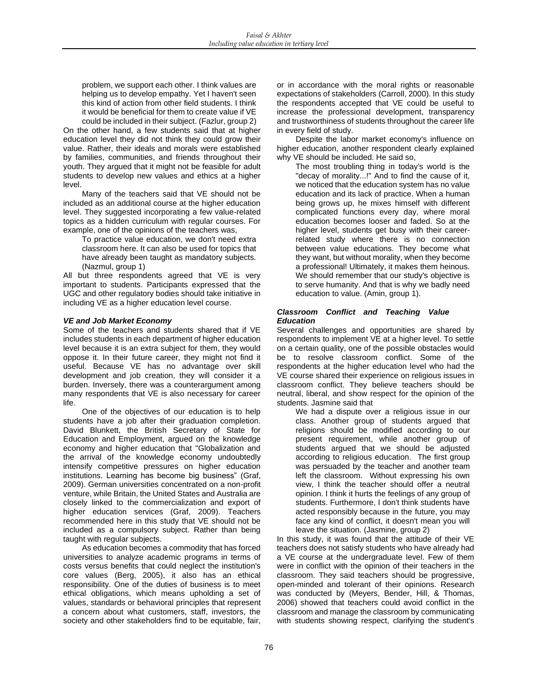problem, we support each other. I think values are helping us to develop empathy. Yet I haven't seen this kind of action from other field students. I think it would be beneficial for them to create value if VE

could be included in their subject. (Fazlur, group 2) On the other hand, a few students said that at higher education level they did not think they could grow their value. Rather, their ideals and morals were established by families, communities, and friends throughout their youth. They argued that it might not be feasible for adult students to develop new values and ethics at a higher level.

Many of the teachers said that VE should not be included as an additional course at the higher education level. They suggested incorporating a few value-related topics as a hidden curriculum with regular courses. For example, one of the opinions of the teachers was,

To practice value education, we don't need extra classroom here. It can also be used for topics that have already been taught as mandatory subjects. (Nazmul, group 1)

All but three respondents agreed that VE is very important to students. Participants expressed that the UGC and other regulatory bodies should take initiative in including VE as a higher education level course.

# *VE and Job Market Economy*

Some of the teachers and students shared that if VE includes students in each department of higher education level because it is an extra subject for them, they would oppose it. In their future career, they might not find it useful. Because VE has no advantage over skill development and job creation, they will consider it a burden. Inversely, there was a counterargument among many respondents that VE is also necessary for career life.

One of the objectives of our education is to help students have a job after their graduation completion. David Blunkett, the British Secretary of State for Education and Employment, argued on the knowledge economy and higher education that "Globalization and the arrival of the knowledge economy undoubtedly intensify competitive pressures on higher education institutions. Learning has become big business" (Graf, 2009). German universities concentrated on a non-profit venture, while Britain, the United States and Australia are closely linked to the commercialization and export of higher education services (Graf, 2009). Teachers recommended here in this study that VE should not be included as a compulsory subject. Rather than being taught with regular subjects.

As education becomes a commodity that has forced universities to analyze academic programs in terms of costs versus benefits that could neglect the institution's core values (Berg, 2005), it also has an ethical responsibility. One of the duties of business is to meet ethical obligations, which means upholding a set of values, standards or behavioral principles that represent a concern about what customers, staff, investors, the society and other stakeholders find to be equitable, fair,

or in accordance with the moral rights or reasonable expectations of stakeholders (Carroll, 2000). In this study the respondents accepted that VE could be useful to increase the professional development, transparency and trustworthiness of students throughout the career life in every field of study.

Despite the labor market economy's influence on higher education, another respondent clearly explained why VE should be included. He said so,

The most troubling thing in today's world is the "decay of morality...!" And to find the cause of it, we noticed that the education system has no value education and its lack of practice. When a human being grows up, he mixes himself with different complicated functions every day, where moral education becomes looser and faded. So at the higher level, students get busy with their careerrelated study where there is no connection between value educations. They become what they want, but without morality, when they become a professional! Ultimately, it makes them heinous. We should remember that our study's objective is to serve humanity. And that is why we badly need education to value. (Amin, group 1).

# *Classroom Conflict and Teaching Value Education*

Several challenges and opportunities are shared by respondents to implement VE at a higher level. To settle on a certain quality, one of the possible obstacles would be to resolve classroom conflict. Some of the respondents at the higher education level who had the VE course shared their experience on religious issues in classroom conflict. They believe teachers should be neutral, liberal, and show respect for the opinion of the students. Jasmine said that

We had a dispute over a religious issue in our class. Another group of students argued that religions should be modified according to our present requirement, while another group of students argued that we should be adjusted according to religious education. The first group was persuaded by the teacher and another team left the classroom. Without expressing his own view, I think the teacher should offer a neutral opinion. I think it hurts the feelings of any group of students. Furthermore, I don't think students have acted responsibly because in the future, you may face any kind of conflict, it doesn't mean you will leave the situation. (Jasmine, group 2)

In this study, it was found that the attitude of their VE teachers does not satisfy students who have already had a VE course at the undergraduate level. Few of them were in conflict with the opinion of their teachers in the classroom. They said teachers should be progressive, open-minded and tolerant of their opinions. Research was conducted by (Meyers, Bender, Hill, & Thomas, 2006) showed that teachers could avoid conflict in the classroom and manage the classroom by communicating with students showing respect, clarifying the student's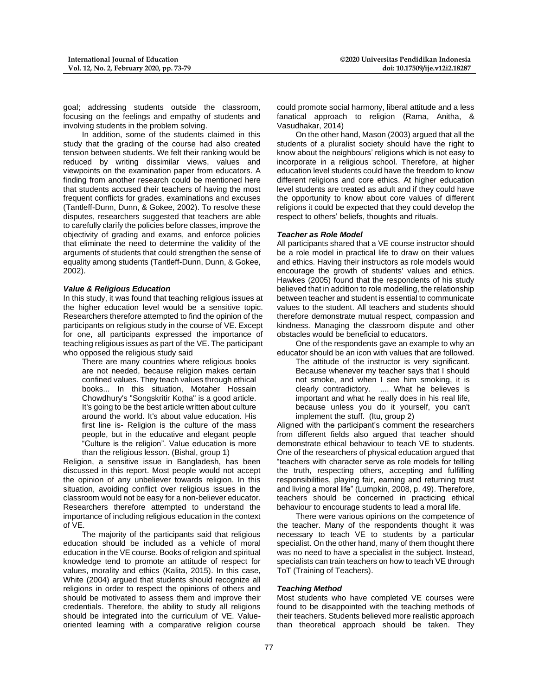goal; addressing students outside the classroom, focusing on the feelings and empathy of students and involving students in the problem solving.

In addition, some of the students claimed in this study that the grading of the course had also created tension between students. We felt their ranking would be reduced by writing dissimilar views, values and viewpoints on the examination paper from educators. A finding from another research could be mentioned here that students accused their teachers of having the most frequent conflicts for grades, examinations and excuses (Tantleff-Dunn, Dunn, & Gokee, 2002). To resolve these disputes, researchers suggested that teachers are able to carefully clarify the policies before classes, improve the objectivity of grading and exams, and enforce policies that eliminate the need to determine the validity of the arguments of students that could strengthen the sense of equality among students (Tantleff-Dunn, Dunn, & Gokee, 2002).

#### *Value & Religious Education*

In this study, it was found that teaching religious issues at the higher education level would be a sensitive topic. Researchers therefore attempted to find the opinion of the participants on religious study in the course of VE. Except for one, all participants expressed the importance of teaching religious issues as part of the VE. The participant who opposed the religious study said

There are many countries where religious books are not needed, because religion makes certain confined values. They teach values through ethical books... In this situation, Motaher Hossain Chowdhury's "Songskritir Kotha" is a good article. It's going to be the best article written about culture around the world. It's about value education. His first line is- Religion is the culture of the mass people, but in the educative and elegant people "Culture is the religion". Value education is more than the religious lesson. (Bishal, group 1)

Religion, a sensitive issue in Bangladesh, has been discussed in this report. Most people would not accept the opinion of any unbeliever towards religion. In this situation, avoiding conflict over religious issues in the classroom would not be easy for a non-believer educator. Researchers therefore attempted to understand the importance of including religious education in the context of VE.

The majority of the participants said that religious education should be included as a vehicle of moral education in the VE course. Books of religion and spiritual knowledge tend to promote an attitude of respect for values, morality and ethics (Kalita, 2015). In this case, White (2004) argued that students should recognize all religions in order to respect the opinions of others and should be motivated to assess them and improve their credentials. Therefore, the ability to study all religions should be integrated into the curriculum of VE. Valueoriented learning with a comparative religion course

could promote social harmony, liberal attitude and a less fanatical approach to religion (Rama, Anitha, & Vasudhakar, 2014)

On the other hand, Mason (2003) argued that all the students of a pluralist society should have the right to know about the neighbours' religions which is not easy to incorporate in a religious school. Therefore, at higher education level students could have the freedom to know different religions and core ethics. At higher education level students are treated as adult and if they could have the opportunity to know about core values of different religions it could be expected that they could develop the respect to others' beliefs, thoughts and rituals.

#### *Teacher as Role Model*

All participants shared that a VE course instructor should be a role model in practical life to draw on their values and ethics. Having their instructors as role models would encourage the growth of students' values and ethics. Hawkes (2005) found that the respondents of his study believed that in addition to role modelling, the relationship between teacher and student is essential to communicate values to the student. All teachers and students should therefore demonstrate mutual respect, compassion and kindness. Managing the classroom dispute and other obstacles would be beneficial to educators.

One of the respondents gave an example to why an educator should be an icon with values that are followed.

The attitude of the instructor is very significant. Because whenever my teacher says that I should not smoke, and when I see him smoking, it is clearly contradictory. .... What he believes is important and what he really does in his real life, because unless you do it yourself, you can't implement the stuff. (Itu, group 2)

Aligned with the participant's comment the researchers from different fields also argued that teacher should demonstrate ethical behaviour to teach VE to students. One of the researchers of physical education argued that "teachers with character serve as role models for telling the truth, respecting others, accepting and fulfilling responsibilities, playing fair, earning and returning trust and living a moral life" (Lumpkin, 2008, p. 49). Therefore, teachers should be concerned in practicing ethical behaviour to encourage students to lead a moral life.

There were various opinions on the competence of the teacher. Many of the respondents thought it was necessary to teach VE to students by a particular specialist. On the other hand, many of them thought there was no need to have a specialist in the subject. Instead, specialists can train teachers on how to teach VE through ToT (Training of Teachers).

#### *Teaching Method*

Most students who have completed VE courses were found to be disappointed with the teaching methods of their teachers. Students believed more realistic approach than theoretical approach should be taken. They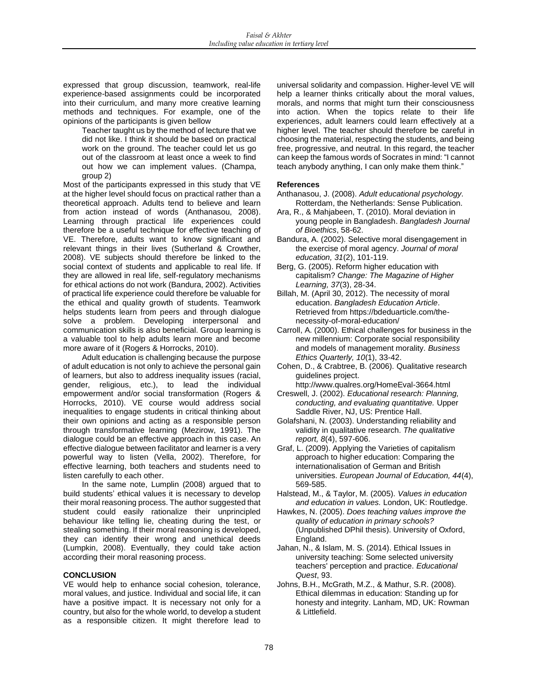expressed that group discussion, teamwork, real-life experience-based assignments could be incorporated into their curriculum, and many more creative learning methods and techniques. For example, one of the opinions of the participants is given bellow

Teacher taught us by the method of lecture that we did not like. I think it should be based on practical work on the ground. The teacher could let us go out of the classroom at least once a week to find out how we can implement values. (Champa, group 2)

Most of the participants expressed in this study that VE at the higher level should focus on practical rather than a theoretical approach. Adults tend to believe and learn from action instead of words (Anthanasou, 2008). Learning through practical life experiences could therefore be a useful technique for effective teaching of VE. Therefore, adults want to know significant and relevant things in their lives (Sutherland & Crowther, 2008). VE subjects should therefore be linked to the social context of students and applicable to real life. If they are allowed in real life, self-regulatory mechanisms for ethical actions do not work (Bandura, 2002). Activities of practical life experience could therefore be valuable for the ethical and quality growth of students. Teamwork helps students learn from peers and through dialogue solve a problem. Developing interpersonal and communication skills is also beneficial. Group learning is a valuable tool to help adults learn more and become more aware of it (Rogers & Horrocks, 2010).

Adult education is challenging because the purpose of adult education is not only to achieve the personal gain of learners, but also to address inequality issues (racial, gender, religious, etc.), to lead the individual empowerment and/or social transformation (Rogers & Horrocks, 2010). VE course would address social inequalities to engage students in critical thinking about their own opinions and acting as a responsible person through transformative learning (Mezirow, 1991). The dialogue could be an effective approach in this case. An effective dialogue between facilitator and learner is a very powerful way to listen (Vella, 2002). Therefore, for effective learning, both teachers and students need to listen carefully to each other.

In the same note, Lumplin (2008) argued that to build students' ethical values it is necessary to develop their moral reasoning process. The author suggested that student could easily rationalize their unprincipled behaviour like telling lie, cheating during the test, or stealing something. If their moral reasoning is developed, they can identify their wrong and unethical deeds (Lumpkin, 2008). Eventually, they could take action according their moral reasoning process.

# **CONCLUSION**

VE would help to enhance social cohesion, tolerance, moral values, and justice. Individual and social life, it can have a positive impact. It is necessary not only for a country, but also for the whole world, to develop a student as a responsible citizen. It might therefore lead to

universal solidarity and compassion. Higher-level VE will help a learner thinks critically about the moral values, morals, and norms that might turn their consciousness into action. When the topics relate to their life experiences, adult learners could learn effectively at a higher level. The teacher should therefore be careful in choosing the material, respecting the students, and being free, progressive, and neutral. In this regard, the teacher can keep the famous words of Socrates in mind: "I cannot teach anybody anything, I can only make them think."

# **References**

- Anthanasou, J. (2008). *Adult educational psychology.* Rotterdam, the Netherlands: Sense Publication.
- Ara, R., & Mahjabeen, T. (2010). Moral deviation in young people in Bangladesh. *Bangladesh Journal of Bioethics*, 58-62.
- Bandura, A. (2002). Selective moral disengagement in the exercise of moral agency. *Journal of moral education, 31*(2), 101-119.
- Berg, G. (2005). Reform higher education with capitalism? *Change: The Magazine of Higher Learning, 37*(3), 28-34.
- Billah, M. (April 30, 2012). The necessity of moral education. *Bangladesh Education Article*. Retrieved from https://bdeduarticle.com/thenecessity-of-moral-education/
- Carroll, A. (2000). Ethical challenges for business in the new millennium: Corporate social responsibility and models of management morality. *Business Ethics Quarterly, 10*(1), 33-42.
- Cohen, D., & Crabtree, B. (2006). Qualitative research guidelines project.

http://www.qualres.org/HomeEval-3664.html

- Creswell, J. (2002). *Educational research: Planning, conducting, and evaluating quantitative.* Upper Saddle River, NJ, US: Prentice Hall.
- Golafshani, N. (2003). Understanding reliability and validity in qualitative research. *The qualitative report, 8*(4), 597-606.
- Graf, L. (2009). Applying the Varieties of capitalism approach to higher education: Comparing the internationalisation of German and British universities. *European Journal of Education, 44*(4), 569-585.
- Halstead, M., & Taylor, M. (2005). *Values in education and education in values.* London, UK: Routledge.
- Hawkes, N. (2005). *Does teaching values improve the quality of education in primary schools?* (Unpublished DPhil thesis). University of Oxford, England.
- Jahan, N., & Islam, M. S. (2014). Ethical Issues in university teaching: Some selected university teachers' perception and practice. *Educational Quest*, 93.
- Johns, B.H., McGrath, M.Z., & Mathur, S.R. (2008). Ethical dilemmas in education: Standing up for honesty and integrity. Lanham, MD, UK: Rowman & Littlefield.